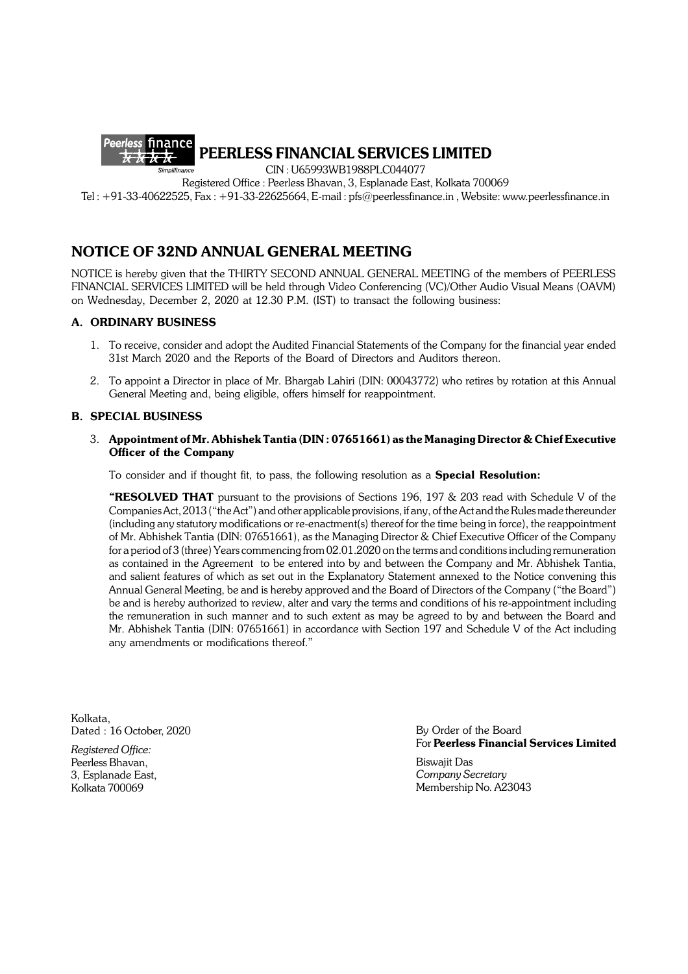

**PEERLESS FINANCIAL SERVICES LIMITED**

CIN : U65993WB1988PLC044077

Registered Office : Peerless Bhavan, 3, Esplanade East, Kolkata 700069

Tel : +91-33-40622525, Fax : +91-33-22625664, E-mail : pfs@peerlessfinance.in , Website: www.peerlessfinance.in

# **NOTICE OF 32ND ANNUAL GENERAL MEETING**

NOTICE is hereby given that the THIRTY SECOND ANNUAL GENERAL MEETING of the members of PEERLESS FINANCIAL SERVICES LIMITED will be held through Video Conferencing (VC)/Other Audio Visual Means (OAVM) on Wednesday, December 2, 2020 at 12.30 P.M. (IST) to transact the following business:

## **A. ORDINARY BUSINESS**

- 1. To receive, consider and adopt the Audited Financial Statements of the Company for the financial year ended 31st March 2020 and the Reports of the Board of Directors and Auditors thereon.
- 2. To appoint a Director in place of Mr. Bhargab Lahiri (DIN: 00043772) who retires by rotation at this Annual General Meeting and, being eligible, offers himself for reappointment.

## **B. SPECIAL BUSINESS**

## 3. **Appointment of Mr. Abhishek Tantia (DIN : 07651661) as the Managing Director & Chief Executive Officer of the Company**

To consider and if thought fit, to pass, the following resolution as a **Special Resolution:**

**"RESOLVED THAT** pursuant to the provisions of Sections 196, 197 & 203 read with Schedule V of the Companies Act, 2013 ("the Act") and other applicable provisions, if any, of the Act and the Rules made thereunder (including any statutory modifications or re-enactment(s) thereof for the time being in force), the reappointment of Mr. Abhishek Tantia (DIN: 07651661), as the Managing Director & Chief Executive Officer of the Company for a period of 3 (three) Years commencing from 02.01.2020 on the terms and conditions including remuneration as contained in the Agreement to be entered into by and between the Company and Mr. Abhishek Tantia, and salient features of which as set out in the Explanatory Statement annexed to the Notice convening this Annual General Meeting, be and is hereby approved and the Board of Directors of the Company ("the Board") be and is hereby authorized to review, alter and vary the terms and conditions of his re-appointment including the remuneration in such manner and to such extent as may be agreed to by and between the Board and Mr. Abhishek Tantia (DIN: 07651661) in accordance with Section 197 and Schedule V of the Act including any amendments or modifications thereof."

Kolkata, Dated : 16 October, 2020

*Registered Office:* Peerless Bhavan, 3, Esplanade East, Kolkata 700069

By Order of the Board For **Peerless Financial Services Limited**

Biswajit Das *Company Secretary* Membership No. A23043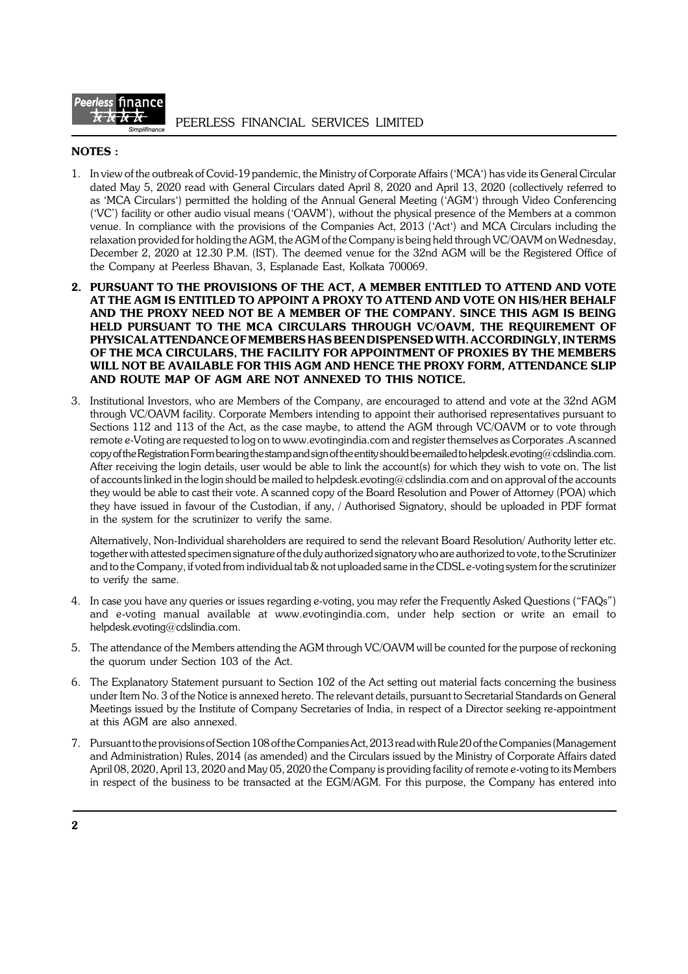

## **NOTES :**

- 1. In view of the outbreak of Covid-19 pandemic, the Ministry of Corporate Affairs ('MCA') has vide its General Circular dated May 5, 2020 read with General Circulars dated April 8, 2020 and April 13, 2020 (collectively referred to as 'MCA Circulars') permitted the holding of the Annual General Meeting ('AGM') through Video Conferencing ('VC') facility or other audio visual means ('OAVM'), without the physical presence of the Members at a common venue. In compliance with the provisions of the Companies Act, 2013 ('Act') and MCA Circulars including the relaxation provided for holding the AGM, the AGM of the Company is being held through VC/OAVM on Wednesday, December 2, 2020 at 12.30 P.M. (IST). The deemed venue for the 32nd AGM will be the Registered Office of the Company at Peerless Bhavan, 3, Esplanade East, Kolkata 700069.
- **2. PURSUANT TO THE PROVISIONS OF THE ACT, A MEMBER ENTITLED TO ATTEND AND VOTE AT THE AGM IS ENTITLED TO APPOINT A PROXY TO ATTEND AND VOTE ON HIS/HER BEHALF AND THE PROXY NEED NOT BE A MEMBER OF THE COMPANY. SINCE THIS AGM IS BEING HELD PURSUANT TO THE MCA CIRCULARS THROUGH VC/OAVM, THE REQUIREMENT OF PHYSICAL ATTENDANCE OF MEMBERS HAS BEEN DISPENSED WITH. ACCORDINGLY, IN TERMS OF THE MCA CIRCULARS, THE FACILITY FOR APPOINTMENT OF PROXIES BY THE MEMBERS WILL NOT BE AVAILABLE FOR THIS AGM AND HENCE THE PROXY FORM, ATTENDANCE SLIP AND ROUTE MAP OF AGM ARE NOT ANNEXED TO THIS NOTICE.**
- 3. Institutional Investors, who are Members of the Company, are encouraged to attend and vote at the 32nd AGM through VC/OAVM facility. Corporate Members intending to appoint their authorised representatives pursuant to Sections 112 and 113 of the Act, as the case maybe, to attend the AGM through VC/OAVM or to vote through remote e-Voting are requested to log on to www.evotingindia.com and register themselves as Corporates .A scanned copy of the Registration Form bearing the stamp and sign of the entity should be emailed to helpdesk.evoting@cdslindia.com. After receiving the login details, user would be able to link the account(s) for which they wish to vote on. The list of accounts linked in the login should be mailed to helpdesk.evoting@cdslindia.com and on approval of the accounts they would be able to cast their vote. A scanned copy of the Board Resolution and Power of Attorney (POA) which they have issued in favour of the Custodian, if any, / Authorised Signatory, should be uploaded in PDF format in the system for the scrutinizer to verify the same.

Alternatively, Non-Individual shareholders are required to send the relevant Board Resolution/ Authority letter etc. together with attested specimen signature of the duly authorized signatory who are authorized to vote, to the Scrutinizer and to the Company, if voted from individual tab & not uploaded same in the CDSL e-voting system for the scrutinizer to verify the same.

- 4. In case you have any queries or issues regarding e-voting, you may refer the Frequently Asked Questions ("FAQs") and e-voting manual available at www.evotingindia.com, under help section or write an email to helpdesk.evoting@cdslindia.com.
- 5. The attendance of the Members attending the AGM through VC/OAVM will be counted for the purpose of reckoning the quorum under Section 103 of the Act.
- 6. The Explanatory Statement pursuant to Section 102 of the Act setting out material facts concerning the business under Item No. 3 of the Notice is annexed hereto. The relevant details, pursuant to Secretarial Standards on General Meetings issued by the Institute of Company Secretaries of India, in respect of a Director seeking re-appointment at this AGM are also annexed.
- 7. Pursuant to the provisions of Section 108 of the Companies Act, 2013 read with Rule 20 of the Companies (Management and Administration) Rules, 2014 (as amended) and the Circulars issued by the Ministry of Corporate Affairs dated April 08, 2020, April 13, 2020 and May 05, 2020 the Company is providing facility of remote e-voting to its Members in respect of the business to be transacted at the EGM/AGM. For this purpose, the Company has entered into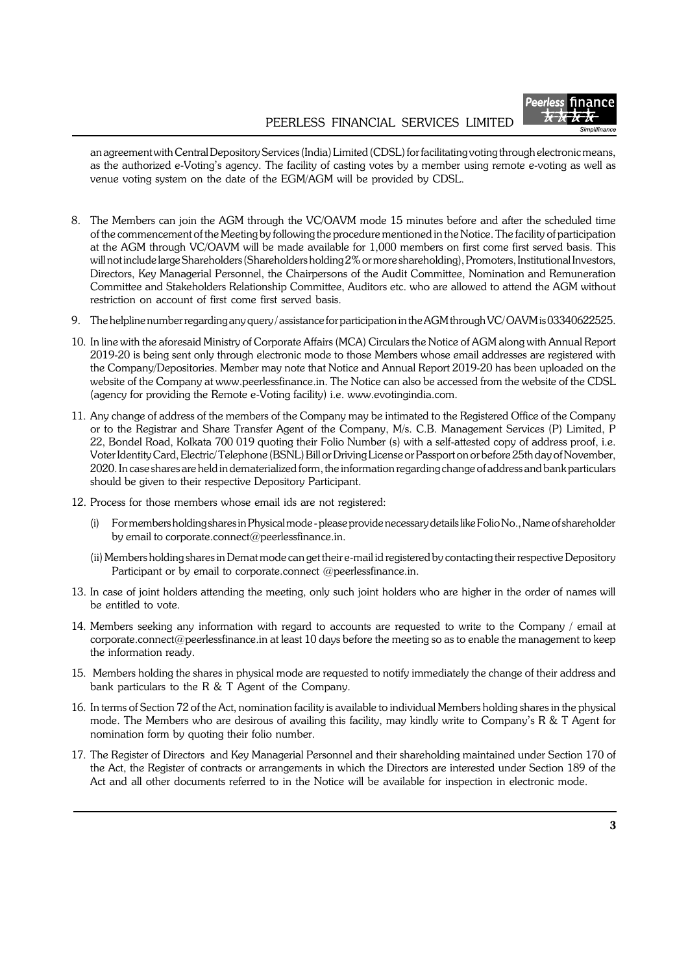

an agreement with Central Depository Services (India) Limited (CDSL) for facilitating voting through electronic means, as the authorized e-Voting's agency. The facility of casting votes by a member using remote e-voting as well as venue voting system on the date of the EGM/AGM will be provided by CDSL.

- 8. The Members can join the AGM through the VC/OAVM mode 15 minutes before and after the scheduled time of the commencement of the Meeting by following the procedure mentioned in the Notice. The facility of participation at the AGM through VC/OAVM will be made available for 1,000 members on first come first served basis. This will not include large Shareholders (Shareholders holding 2% or more shareholding), Promoters, Institutional Investors, Directors, Key Managerial Personnel, the Chairpersons of the Audit Committee, Nomination and Remuneration Committee and Stakeholders Relationship Committee, Auditors etc. who are allowed to attend the AGM without restriction on account of first come first served basis.
- 9. The helpline number regarding any query / assistance for participation in the AGM through VC/ OAVM is 03340622525.
- 10. In line with the aforesaid Ministry of Corporate Affairs (MCA) Circulars the Notice of AGM along with Annual Report 2019-20 is being sent only through electronic mode to those Members whose email addresses are registered with the Company/Depositories. Member may note that Notice and Annual Report 2019-20 has been uploaded on the website of the Company at www.peerlessfinance.in. The Notice can also be accessed from the website of the CDSL (agency for providing the Remote e-Voting facility) i.e. www.evotingindia.com.
- 11. Any change of address of the members of the Company may be intimated to the Registered Office of the Company or to the Registrar and Share Transfer Agent of the Company, M/s. C.B. Management Services (P) Limited, P 22, Bondel Road, Kolkata 700 019 quoting their Folio Number (s) with a self-attested copy of address proof, i.e. Voter Identity Card, Electric/ Telephone (BSNL) Bill or Driving License or Passport on or before 25th day of November, 2020. In case shares are held in dematerialized form, the information regarding change of address and bank particulars should be given to their respective Depository Participant.
- 12. Process for those members whose email ids are not registered:
	- (i) For members holding shares in Physical mode please provide necessary details like Folio No., Name of shareholder by email to corporate.connect@peerlessfinance.in.
	- (ii) Members holding shares in Demat mode can get their e-mail id registered by contacting their respective Depository Participant or by email to corporate.connect @peerlessfinance.in.
- 13. In case of joint holders attending the meeting, only such joint holders who are higher in the order of names will be entitled to vote.
- 14. Members seeking any information with regard to accounts are requested to write to the Company / email at corporate.connect@peerlessfinance.in at least 10 days before the meeting so as to enable the management to keep the information ready.
- 15. Members holding the shares in physical mode are requested to notify immediately the change of their address and bank particulars to the R & T Agent of the Company.
- 16. In terms of Section 72 of the Act, nomination facility is available to individual Members holding shares in the physical mode. The Members who are desirous of availing this facility, may kindly write to Company's R & T Agent for nomination form by quoting their folio number.
- 17. The Register of Directors and Key Managerial Personnel and their shareholding maintained under Section 170 of the Act, the Register of contracts or arrangements in which the Directors are interested under Section 189 of the Act and all other documents referred to in the Notice will be available for inspection in electronic mode.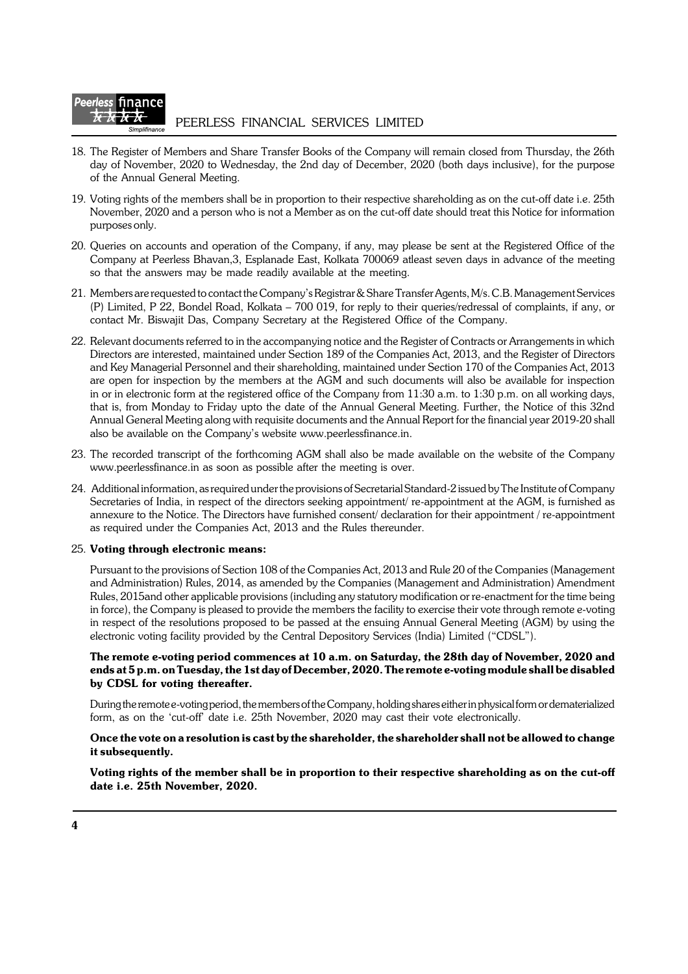

- 18. The Register of Members and Share Transfer Books of the Company will remain closed from Thursday, the 26th day of November, 2020 to Wednesday, the 2nd day of December, 2020 (both days inclusive), for the purpose of the Annual General Meeting.
- 19. Voting rights of the members shall be in proportion to their respective shareholding as on the cut-off date i.e. 25th November, 2020 and a person who is not a Member as on the cut-off date should treat this Notice for information purposes only.
- 20. Queries on accounts and operation of the Company, if any, may please be sent at the Registered Office of the Company at Peerless Bhavan,3, Esplanade East, Kolkata 700069 atleast seven days in advance of the meeting so that the answers may be made readily available at the meeting.
- 21. Members are requested to contact the Company's Registrar & Share Transfer Agents, M/s. C.B. Management Services (P) Limited, P 22, Bondel Road, Kolkata – 700 019, for reply to their queries/redressal of complaints, if any, or contact Mr. Biswajit Das, Company Secretary at the Registered Office of the Company.
- 22. Relevant documents referred to in the accompanying notice and the Register of Contracts or Arrangements in which Directors are interested, maintained under Section 189 of the Companies Act, 2013, and the Register of Directors and Key Managerial Personnel and their shareholding, maintained under Section 170 of the Companies Act, 2013 are open for inspection by the members at the AGM and such documents will also be available for inspection in or in electronic form at the registered office of the Company from 11:30 a.m. to 1:30 p.m. on all working days, that is, from Monday to Friday upto the date of the Annual General Meeting. Further, the Notice of this 32nd Annual General Meeting along with requisite documents and the Annual Report for the financial year 2019-20 shall also be available on the Company's website www.peerlessfinance.in.
- 23. The recorded transcript of the forthcoming AGM shall also be made available on the website of the Company www.peerlessfinance.in as soon as possible after the meeting is over.
- 24. Additional information, as required under the provisions of Secretarial Standard-2 issued by The Institute of Company Secretaries of India, in respect of the directors seeking appointment/ re-appointment at the AGM, is furnished as annexure to the Notice. The Directors have furnished consent/ declaration for their appointment / re-appointment as required under the Companies Act, 2013 and the Rules thereunder.

#### 25. **Voting through electronic means:**

Pursuant to the provisions of Section 108 of the Companies Act, 2013 and Rule 20 of the Companies (Management and Administration) Rules, 2014, as amended by the Companies (Management and Administration) Amendment Rules, 2015and other applicable provisions (including any statutory modification or re-enactment for the time being in force), the Company is pleased to provide the members the facility to exercise their vote through remote e-voting in respect of the resolutions proposed to be passed at the ensuing Annual General Meeting (AGM) by using the electronic voting facility provided by the Central Depository Services (India) Limited ("CDSL").

### **The remote e-voting period commences at 10 a.m. on Saturday, the 28th day of November, 2020 and ends at 5 p.m. on Tuesday, the 1st day of December, 2020. The remote e-voting module shall be disabled by CDSL for voting thereafter.**

During the remote e-voting period, the members of the Company, holding shares either in physical form or dematerialized form, as on the 'cut-off' date i.e. 25th November, 2020 may cast their vote electronically.

### **Once the vote on a resolution is cast by the shareholder, the shareholder shall not be allowed to change it subsequently.**

**Voting rights of the member shall be in proportion to their respective shareholding as on the cut-off date i.e. 25th November, 2020.**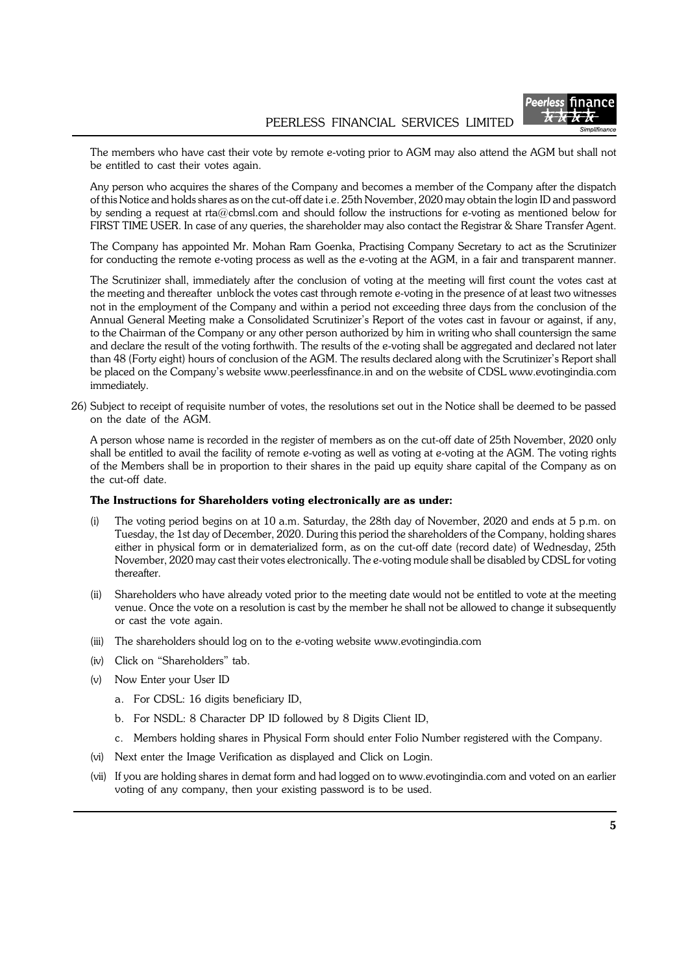

The members who have cast their vote by remote e-voting prior to AGM may also attend the AGM but shall not be entitled to cast their votes again.

Any person who acquires the shares of the Company and becomes a member of the Company after the dispatch of this Notice and holds shares as on the cut-off date i.e. 25th November, 2020 may obtain the login ID and password by sending a request at rta@cbmsl.com and should follow the instructions for e-voting as mentioned below for FIRST TIME USER. In case of any queries, the shareholder may also contact the Registrar & Share Transfer Agent.

The Company has appointed Mr. Mohan Ram Goenka, Practising Company Secretary to act as the Scrutinizer for conducting the remote e-voting process as well as the e-voting at the AGM, in a fair and transparent manner.

The Scrutinizer shall, immediately after the conclusion of voting at the meeting will first count the votes cast at the meeting and thereafter unblock the votes cast through remote e-voting in the presence of at least two witnesses not in the employment of the Company and within a period not exceeding three days from the conclusion of the Annual General Meeting make a Consolidated Scrutinizer's Report of the votes cast in favour or against, if any, to the Chairman of the Company or any other person authorized by him in writing who shall countersign the same and declare the result of the voting forthwith. The results of the e-voting shall be aggregated and declared not later than 48 (Forty eight) hours of conclusion of the AGM. The results declared along with the Scrutinizer's Report shall be placed on the Company's website www.peerlessfinance.in and on the website of CDSL www.evotingindia.com immediately.

26) Subject to receipt of requisite number of votes, the resolutions set out in the Notice shall be deemed to be passed on the date of the AGM.

A person whose name is recorded in the register of members as on the cut-off date of 25th November, 2020 only shall be entitled to avail the facility of remote e-voting as well as voting at e-voting at the AGM. The voting rights of the Members shall be in proportion to their shares in the paid up equity share capital of the Company as on the cut-off date.

#### **The Instructions for Shareholders voting electronically are as under:**

- (i) The voting period begins on at 10 a.m. Saturday, the 28th day of November, 2020 and ends at 5 p.m. on Tuesday, the 1st day of December, 2020. During this period the shareholders of the Company, holding shares either in physical form or in dematerialized form, as on the cut-off date (record date) of Wednesday, 25th November, 2020 may cast their votes electronically. The e-voting module shall be disabled by CDSL for voting thereafter.
- (ii) Shareholders who have already voted prior to the meeting date would not be entitled to vote at the meeting venue. Once the vote on a resolution is cast by the member he shall not be allowed to change it subsequently or cast the vote again.
- (iii) The shareholders should log on to the e-voting website www.evotingindia.com
- (iv) Click on "Shareholders" tab.
- (v) Now Enter your User ID
	- a. For CDSL: 16 digits beneficiary ID,
	- b. For NSDL: 8 Character DP ID followed by 8 Digits Client ID,
	- c. Members holding shares in Physical Form should enter Folio Number registered with the Company.
- (vi) Next enter the Image Verification as displayed and Click on Login.
- (vii) If you are holding shares in demat form and had logged on to www.evotingindia.com and voted on an earlier voting of any company, then your existing password is to be used.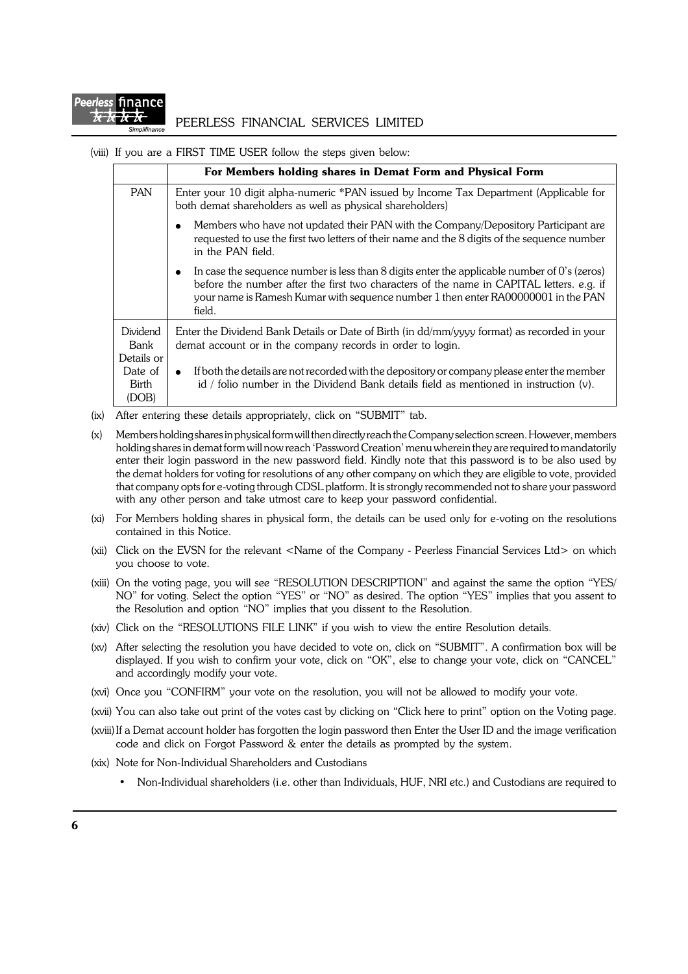

### PEERLESS FINANCIAL SERVICES LIMITED

(viii) If you are a FIRST TIME USER follow the steps given below:

|                                | For Members holding shares in Demat Form and Physical Form                                                                                                                                                                                                                                              |  |  |
|--------------------------------|---------------------------------------------------------------------------------------------------------------------------------------------------------------------------------------------------------------------------------------------------------------------------------------------------------|--|--|
| <b>PAN</b>                     | Enter your 10 digit alpha-numeric *PAN issued by Income Tax Department (Applicable for<br>both demat shareholders as well as physical shareholders)                                                                                                                                                     |  |  |
|                                | Members who have not updated their PAN with the Company/Depository Participant are<br>$\bullet$<br>requested to use the first two letters of their name and the 8 digits of the sequence number<br>in the PAN field.                                                                                    |  |  |
|                                | In case the sequence number is less than 8 digits enter the applicable number of $0$ 's (zeros)<br>$\bullet$<br>before the number after the first two characters of the name in CAPITAL letters. e.g. if<br>your name is Ramesh Kumar with sequence number 1 then enter RA00000001 in the PAN<br>field. |  |  |
| Dividend<br>Bank<br>Details or | Enter the Dividend Bank Details or Date of Birth (in dd/mm/yyyy format) as recorded in your<br>demat account or in the company records in order to login.                                                                                                                                               |  |  |
| Date of<br>Birth<br>(DOB)      | If both the details are not recorded with the depository or company please enter the member<br>$\bullet$<br>id / folio number in the Dividend Bank details field as mentioned in instruction $(v)$ .                                                                                                    |  |  |

- (ix) After entering these details appropriately, click on "SUBMIT" tab.
- (x) Members holding shares in physical form will then directly reach the Company selection screen. However, members holding shares in demat form will now reach 'Password Creation' menu wherein they are required to mandatorily enter their login password in the new password field. Kindly note that this password is to be also used by the demat holders for voting for resolutions of any other company on which they are eligible to vote, provided that company opts for e-voting through CDSL platform. It is strongly recommended not to share your password with any other person and take utmost care to keep your password confidential.
- (xi) For Members holding shares in physical form, the details can be used only for e-voting on the resolutions contained in this Notice.
- (xii) Click on the EVSN for the relevant <Name of the Company Peerless Financial Services Ltd> on which you choose to vote.
- (xiii) On the voting page, you will see "RESOLUTION DESCRIPTION" and against the same the option "YES/ NO" for voting. Select the option "YES" or "NO" as desired. The option "YES" implies that you assent to the Resolution and option "NO" implies that you dissent to the Resolution.
- (xiv) Click on the "RESOLUTIONS FILE LINK" if you wish to view the entire Resolution details.
- (xv) After selecting the resolution you have decided to vote on, click on "SUBMIT". A confirmation box will be displayed. If you wish to confirm your vote, click on "OK", else to change your vote, click on "CANCEL" and accordingly modify your vote.
- (xvi) Once you "CONFIRM" your vote on the resolution, you will not be allowed to modify your vote.
- (xvii) You can also take out print of the votes cast by clicking on "Click here to print" option on the Voting page.
- (xviii)If a Demat account holder has forgotten the login password then Enter the User ID and the image verification code and click on Forgot Password & enter the details as prompted by the system.
- (xix) Note for Non-Individual Shareholders and Custodians
	- Non-Individual shareholders (i.e. other than Individuals, HUF, NRI etc.) and Custodians are required to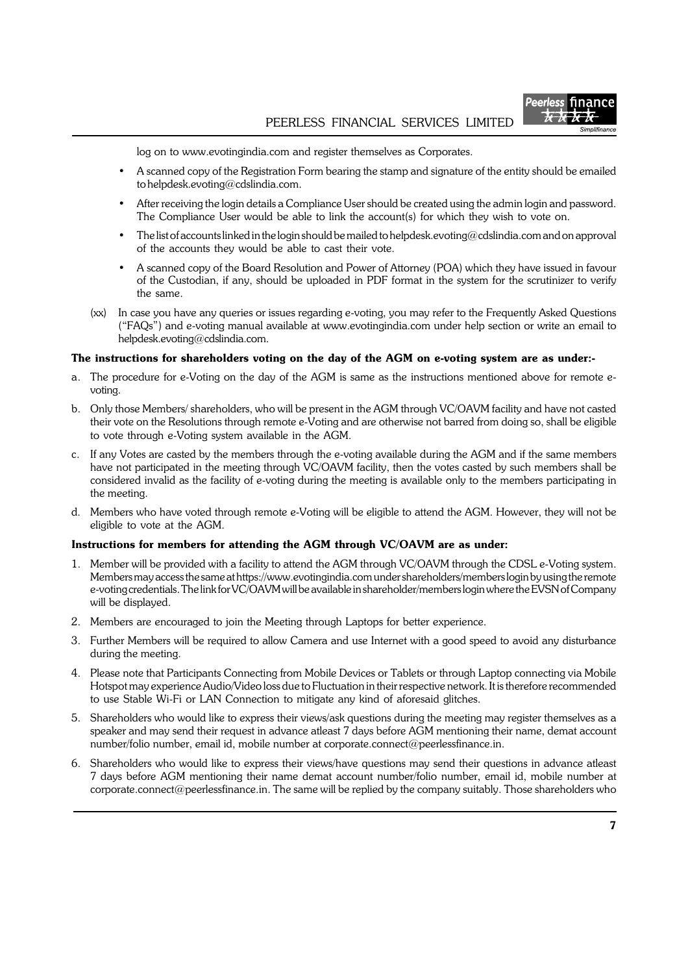

log on to www.evotingindia.com and register themselves as Corporates.

- A scanned copy of the Registration Form bearing the stamp and signature of the entity should be emailed to helpdesk.evoting@cdslindia.com.
- After receiving the login details a Compliance User should be created using the admin login and password. The Compliance User would be able to link the account(s) for which they wish to vote on.
- The list of accounts linked in the login should be mailed to helpdesk.evoting@cdslindia.com and on approval of the accounts they would be able to cast their vote.
- A scanned copy of the Board Resolution and Power of Attorney (POA) which they have issued in favour of the Custodian, if any, should be uploaded in PDF format in the system for the scrutinizer to verify the same.
- (xx) In case you have any queries or issues regarding e-voting, you may refer to the Frequently Asked Questions ("FAQs") and e-voting manual available at www.evotingindia.com under help section or write an email to helpdesk.evoting@cdslindia.com.

#### **The instructions for shareholders voting on the day of the AGM on e-voting system are as under:-**

- a. The procedure for e-Voting on the day of the AGM is same as the instructions mentioned above for remote evoting.
- b. Only those Members/ shareholders, who will be present in the AGM through VC/OAVM facility and have not casted their vote on the Resolutions through remote e-Voting and are otherwise not barred from doing so, shall be eligible to vote through e-Voting system available in the AGM.
- c. If any Votes are casted by the members through the e-voting available during the AGM and if the same members have not participated in the meeting through VC/OAVM facility, then the votes casted by such members shall be considered invalid as the facility of e-voting during the meeting is available only to the members participating in the meeting.
- d. Members who have voted through remote e-Voting will be eligible to attend the AGM. However, they will not be eligible to vote at the AGM.

#### **Instructions for members for attending the AGM through VC/OAVM are as under:**

- 1. Member will be provided with a facility to attend the AGM through VC/OAVM through the CDSL e-Voting system. Members may access the same at https://www.evotingindia.com under shareholders/members login by using the remote e-voting credentials. The link for VC/OAVM will be available in shareholder/members login where the EVSN of Company will be displayed.
- 2. Members are encouraged to join the Meeting through Laptops for better experience.
- 3. Further Members will be required to allow Camera and use Internet with a good speed to avoid any disturbance during the meeting.
- 4. Please note that Participants Connecting from Mobile Devices or Tablets or through Laptop connecting via Mobile Hotspot may experience Audio/Video loss due to Fluctuation in their respective network. It is therefore recommended to use Stable Wi-Fi or LAN Connection to mitigate any kind of aforesaid glitches.
- 5. Shareholders who would like to express their views/ask questions during the meeting may register themselves as a speaker and may send their request in advance atleast 7 days before AGM mentioning their name, demat account number/folio number, email id, mobile number at corporate.connect@peerlessfinance.in.
- 6. Shareholders who would like to express their views/have questions may send their questions in advance atleast 7 days before AGM mentioning their name demat account number/folio number, email id, mobile number at corporate.connect@peerlessfinance.in. The same will be replied by the company suitably. Those shareholders who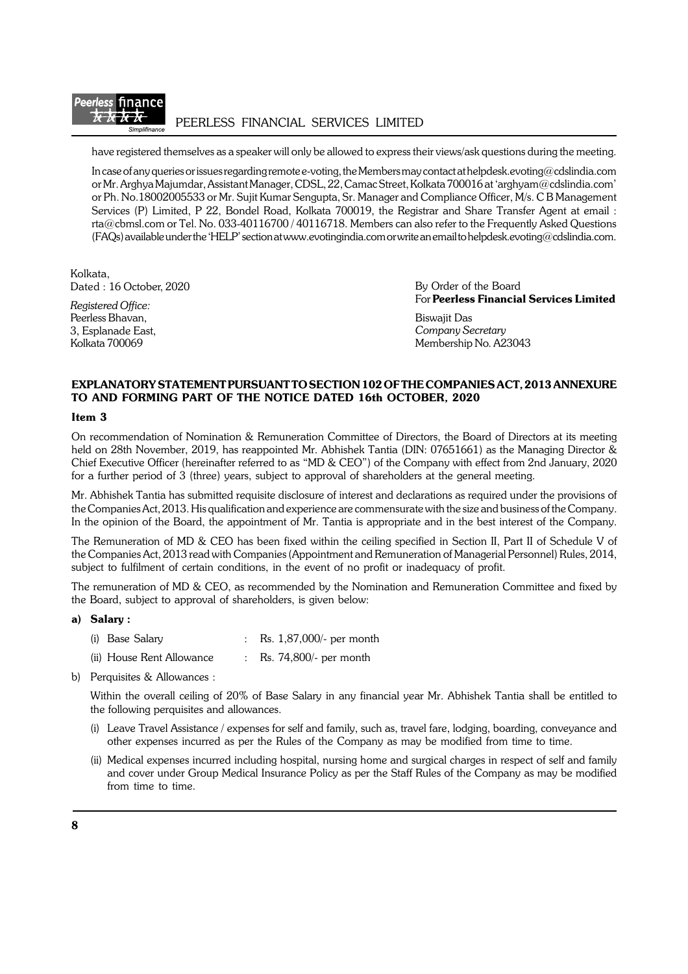

PEERLESS FINANCIAL SERVICES LIMITED

have registered themselves as a speaker will only be allowed to express their views/ask questions during the meeting.

In case of any queries or issues regarding remote e-voting, the Members may contact at helpdesk.evoting@cdslindia.com or Mr. Arghya Majumdar, Assistant Manager, CDSL, 22, Camac Street, Kolkata 700016 at 'arghyam@cdslindia.com' or Ph. No.18002005533 or Mr. Sujit Kumar Sengupta, Sr. Manager and Compliance Officer, M/s. C B Management Services (P) Limited, P 22, Bondel Road, Kolkata 700019, the Registrar and Share Transfer Agent at email : rta@cbmsl.com or Tel. No. 033-40116700 / 40116718. Members can also refer to the Frequently Asked Questions (FAQs) available under the 'HELP' section at www.evotingindia.com or write an email to helpdesk.evoting@cdslindia.com.

Kolkata, Dated : 16 October, 2020

*Registered Office:* Peerless Bhavan, 3, Esplanade East, Kolkata 700069

By Order of the Board For **Peerless Financial Services Limited**

Biswajit Das *Company Secretary* Membership No. A23043

## **EXPLANATORY STATEMENT PURSUANT TO SECTION 102 OF THE COMPANIES ACT, 2013 ANNEXURE TO AND FORMING PART OF THE NOTICE DATED 16th OCTOBER, 2020**

#### **Item 3**

On recommendation of Nomination & Remuneration Committee of Directors, the Board of Directors at its meeting held on 28th November, 2019, has reappointed Mr. Abhishek Tantia (DIN: 07651661) as the Managing Director & Chief Executive Officer (hereinafter referred to as "MD & CEO") of the Company with effect from 2nd January, 2020 for a further period of 3 (three) years, subject to approval of shareholders at the general meeting.

Mr. Abhishek Tantia has submitted requisite disclosure of interest and declarations as required under the provisions of the Companies Act, 2013. His qualification and experience are commensurate with the size and business of the Company. In the opinion of the Board, the appointment of Mr. Tantia is appropriate and in the best interest of the Company.

The Remuneration of MD & CEO has been fixed within the ceiling specified in Section II, Part II of Schedule V of the Companies Act, 2013 read with Companies (Appointment and Remuneration of Managerial Personnel) Rules, 2014, subject to fulfilment of certain conditions, in the event of no profit or inadequacy of profit.

The remuneration of MD & CEO, as recommended by the Nomination and Remuneration Committee and fixed by the Board, subject to approval of shareholders, is given below:

#### **a) Salary :**

- (i) Base Salary  $\therefore$  Rs. 1,87,000/- per month
- (ii) House Rent Allowance : Rs. 74,800/- per month
- b) Perquisites & Allowances :

Within the overall ceiling of 20% of Base Salary in any financial year Mr. Abhishek Tantia shall be entitled to the following perquisites and allowances.

- (i) Leave Travel Assistance / expenses for self and family, such as, travel fare, lodging, boarding, conveyance and other expenses incurred as per the Rules of the Company as may be modified from time to time.
- (ii) Medical expenses incurred including hospital, nursing home and surgical charges in respect of self and family and cover under Group Medical Insurance Policy as per the Staff Rules of the Company as may be modified from time to time.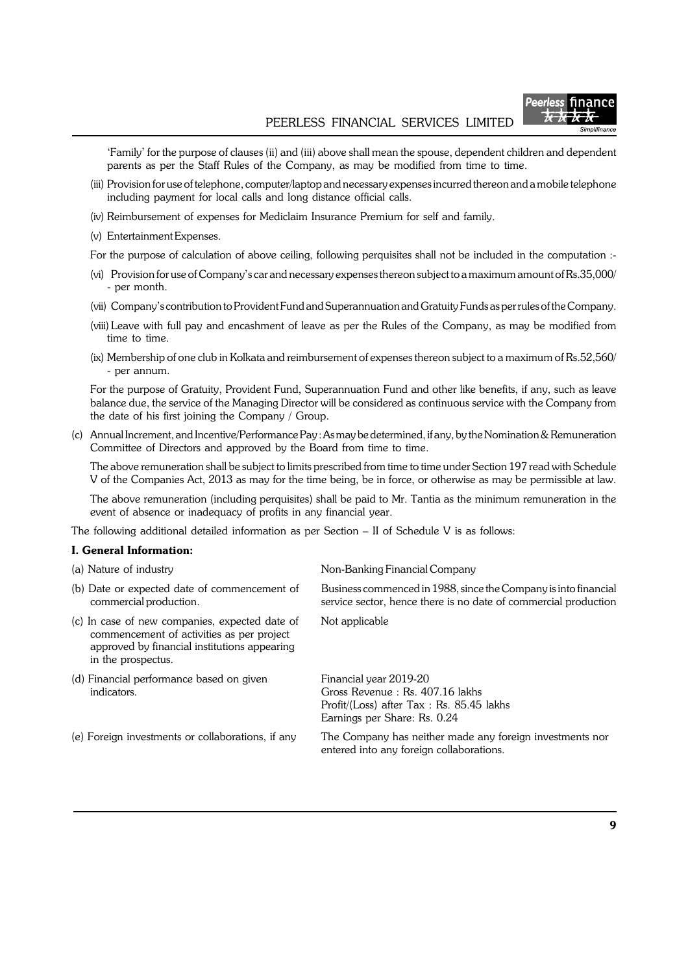

'Family' for the purpose of clauses (ii) and (iii) above shall mean the spouse, dependent children and dependent parents as per the Staff Rules of the Company, as may be modified from time to time.

- (iii) Provision for use of telephone, computer/laptop and necessary expenses incurred thereon and a mobile telephone including payment for local calls and long distance official calls.
- (iv) Reimbursement of expenses for Mediclaim Insurance Premium for self and family.
- (v) Entertainment Expenses.
- For the purpose of calculation of above ceiling, following perquisites shall not be included in the computation :-
- (vi) Provision for use of Company's car and necessary expenses thereon subject to a maximum amount of Rs.35,000/ - per month.
- (vii) Company's contribution to Provident Fund and Superannuation and Gratuity Funds as per rules of the Company.
- (viii) Leave with full pay and encashment of leave as per the Rules of the Company, as may be modified from time to time.
- (ix) Membership of one club in Kolkata and reimbursement of expenses thereon subject to a maximum of Rs.52,560/ - per annum.

For the purpose of Gratuity, Provident Fund, Superannuation Fund and other like benefits, if any, such as leave balance due, the service of the Managing Director will be considered as continuous service with the Company from the date of his first joining the Company / Group.

(c) Annual Increment, and Incentive/Performance Pay : As may be determined, if any, by the Nomination & Remuneration Committee of Directors and approved by the Board from time to time.

The above remuneration shall be subject to limits prescribed from time to time under Section 197 read with Schedule V of the Companies Act, 2013 as may for the time being, be in force, or otherwise as may be permissible at law.

The above remuneration (including perquisites) shall be paid to Mr. Tantia as the minimum remuneration in the event of absence or inadequacy of profits in any financial year.

The following additional detailed information as per Section – II of Schedule V is as follows:

### **I. General Information:**

| (a) Nature of industry                                                                                                                                            | Non-Banking Financial Company                                                                                                         |  |  |
|-------------------------------------------------------------------------------------------------------------------------------------------------------------------|---------------------------------------------------------------------------------------------------------------------------------------|--|--|
| (b) Date or expected date of commencement of<br>commercial production.                                                                                            | Business commenced in 1988, since the Company is into financial<br>service sector, hence there is no date of commercial production    |  |  |
| (c) In case of new companies, expected date of<br>commencement of activities as per project<br>approved by financial institutions appearing<br>in the prospectus. | Not applicable                                                                                                                        |  |  |
| (d) Financial performance based on given<br>indicators.                                                                                                           | Financial year 2019-20<br>Gross Revenue: Rs. 407.16 lakhs<br>Profit/(Loss) after Tax: Rs. 85.45 lakhs<br>Earnings per Share: Rs. 0.24 |  |  |
| (e) Foreign investments or collaborations, if any                                                                                                                 | The Company has neither made any foreign investments nor<br>entered into any foreign collaborations.                                  |  |  |
|                                                                                                                                                                   |                                                                                                                                       |  |  |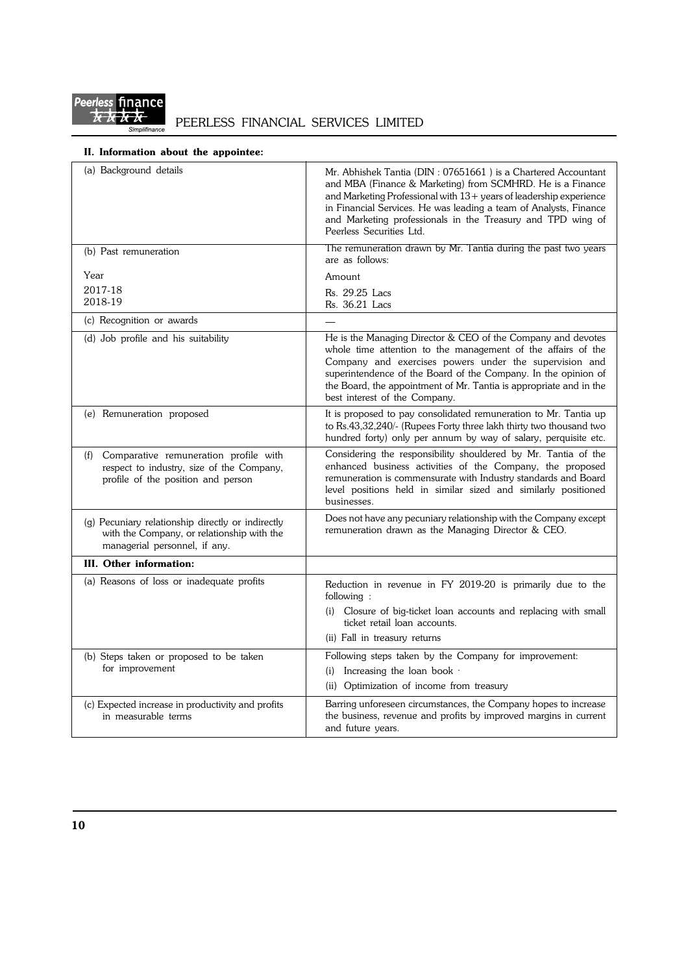

## **II. Information about the appointee:**

| (a) Background details                                                                                                             | Mr. Abhishek Tantia (DIN: 07651661) is a Chartered Accountant<br>and MBA (Finance & Marketing) from SCMHRD. He is a Finance<br>and Marketing Professional with 13+ years of leadership experience<br>in Financial Services. He was leading a team of Analysts, Finance<br>and Marketing professionals in the Treasury and TPD wing of<br>Peerless Securities Ltd. |  |  |
|------------------------------------------------------------------------------------------------------------------------------------|-------------------------------------------------------------------------------------------------------------------------------------------------------------------------------------------------------------------------------------------------------------------------------------------------------------------------------------------------------------------|--|--|
| (b) Past remuneration                                                                                                              | The remuneration drawn by Mr. Tantia during the past two years<br>are as follows:                                                                                                                                                                                                                                                                                 |  |  |
| Year                                                                                                                               | Amount                                                                                                                                                                                                                                                                                                                                                            |  |  |
| 2017-18<br>2018-19                                                                                                                 | Rs. 29.25 Lacs<br>Rs. 36.21 Lacs                                                                                                                                                                                                                                                                                                                                  |  |  |
| (c) Recognition or awards                                                                                                          |                                                                                                                                                                                                                                                                                                                                                                   |  |  |
| (d) Job profile and his suitability                                                                                                | He is the Managing Director & CEO of the Company and devotes<br>whole time attention to the management of the affairs of the<br>Company and exercises powers under the supervision and<br>superintendence of the Board of the Company. In the opinion of<br>the Board, the appointment of Mr. Tantia is appropriate and in the<br>best interest of the Company.   |  |  |
| (e) Remuneration proposed                                                                                                          | It is proposed to pay consolidated remuneration to Mr. Tantia up<br>to Rs.43,32,240/- (Rupees Forty three lakh thirty two thousand two<br>hundred forty) only per annum by way of salary, perquisite etc.                                                                                                                                                         |  |  |
| Comparative remuneration profile with<br>(f)<br>respect to industry, size of the Company,<br>profile of the position and person    | Considering the responsibility shouldered by Mr. Tantia of the<br>enhanced business activities of the Company, the proposed<br>remuneration is commensurate with Industry standards and Board<br>level positions held in similar sized and similarly positioned<br>businesses.                                                                                    |  |  |
| $(g)$ Pecuniary relationship directly or indirectly<br>with the Company, or relationship with the<br>managerial personnel, if any. | Does not have any pecuniary relationship with the Company except<br>remuneration drawn as the Managing Director & CEO.                                                                                                                                                                                                                                            |  |  |
| III. Other information:                                                                                                            |                                                                                                                                                                                                                                                                                                                                                                   |  |  |
| (a) Reasons of loss or inadequate profits                                                                                          | Reduction in revenue in FY 2019-20 is primarily due to the<br>following:<br>Closure of big-ticket loan accounts and replacing with small<br>(i)<br>ticket retail loan accounts.<br>(ii) Fall in treasury returns                                                                                                                                                  |  |  |
| (b) Steps taken or proposed to be taken                                                                                            | Following steps taken by the Company for improvement:                                                                                                                                                                                                                                                                                                             |  |  |
| for improvement                                                                                                                    | (i) Increasing the loan book $\cdot$                                                                                                                                                                                                                                                                                                                              |  |  |
|                                                                                                                                    | (ii) Optimization of income from treasury                                                                                                                                                                                                                                                                                                                         |  |  |
| (c) Expected increase in productivity and profits<br>in measurable terms                                                           | Barring unforeseen circumstances, the Company hopes to increase<br>the business, revenue and profits by improved margins in current<br>and future years.                                                                                                                                                                                                          |  |  |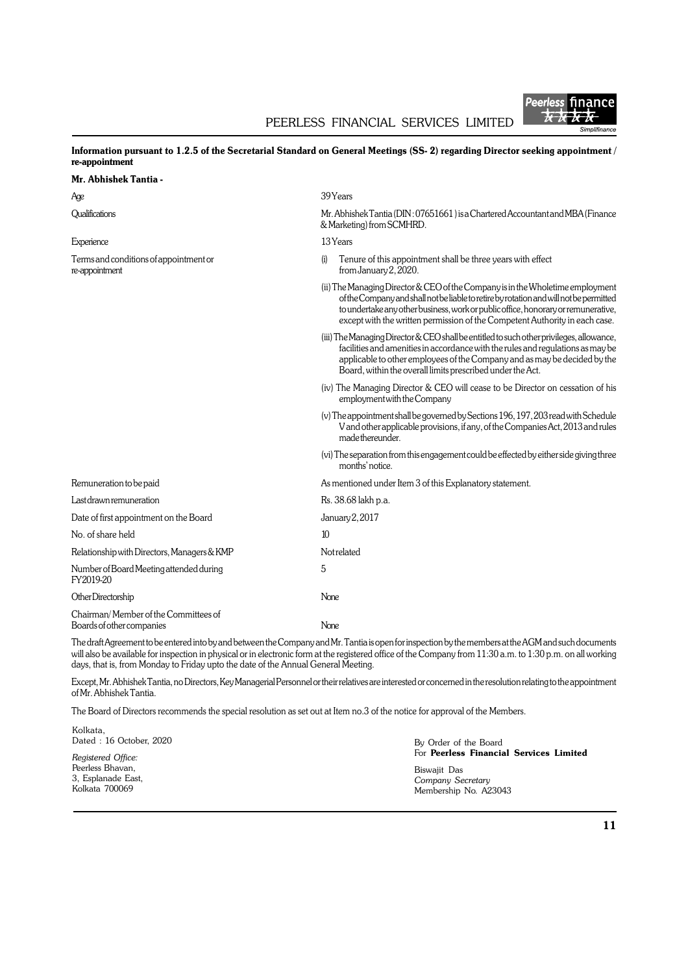

### **Information pursuant to 1.2.5 of the Secretarial Standard on General Meetings (SS- 2) regarding Director seeking appointment / re-appointment**

### **Mr. Abhishek Tantia -**

| Age                                                               | 39 Years                                                                                                                                                                                                                                                                                                                                     |  |  |
|-------------------------------------------------------------------|----------------------------------------------------------------------------------------------------------------------------------------------------------------------------------------------------------------------------------------------------------------------------------------------------------------------------------------------|--|--|
| Qualifications                                                    | Mr. Abhishek Tantia (DIN: 07651661) is a Chartered Accountant and MBA (Finance<br>& Marketing) from SCMHRD.                                                                                                                                                                                                                                  |  |  |
| Experience                                                        | 13 Years                                                                                                                                                                                                                                                                                                                                     |  |  |
| Terms and conditions of appointment or<br>re-appointment          | Tenure of this appointment shall be three years with effect<br>(i)<br>from January 2, 2020.                                                                                                                                                                                                                                                  |  |  |
|                                                                   | (ii) The Managing Director & CEO of the Company is in the Wholetime employment<br>of the Company and shall not be liable to retire by rotation and will not be permitted<br>to undertake any other business, work or public office, honorary or remunerative,<br>except with the written permission of the Competent Authority in each case. |  |  |
|                                                                   | (iii) The Managing Director & CEO shall be entitled to such other privileges, allowance,<br>facilities and amenities in accordance with the rules and regulations as may be<br>applicable to other employees of the Company and as may be decided by the<br>Board, within the overall limits prescribed under the Act.                       |  |  |
|                                                                   | (iv) The Managing Director & CEO will cease to be Director on cessation of his<br>employment with the Company                                                                                                                                                                                                                                |  |  |
|                                                                   | (v) The appointment shall be governed by Sections 196, 197, 203 read with Schedule<br>V and other applicable provisions, if any, of the Companies Act, 2013 and rules<br>made thereunder.                                                                                                                                                    |  |  |
|                                                                   | (vi) The separation from this engagement could be effected by either side giving three<br>months' notice.                                                                                                                                                                                                                                    |  |  |
| Remuneration to be paid                                           | As mentioned under Item 3 of this Explanatory statement.                                                                                                                                                                                                                                                                                     |  |  |
| Last drawn remuneration                                           | Rs. 38.68 lakh p.a.                                                                                                                                                                                                                                                                                                                          |  |  |
| Date of first appointment on the Board                            | January 2, 2017                                                                                                                                                                                                                                                                                                                              |  |  |
| No. of share held                                                 | 10                                                                                                                                                                                                                                                                                                                                           |  |  |
| Relationship with Directors, Managers & KMP                       | Notrelated                                                                                                                                                                                                                                                                                                                                   |  |  |
| Number of Board Meeting attended during<br>FY2019-20              | 5                                                                                                                                                                                                                                                                                                                                            |  |  |
| Other Directorship                                                | None                                                                                                                                                                                                                                                                                                                                         |  |  |
| Chairman/Member of the Committees of<br>Boards of other companies | None                                                                                                                                                                                                                                                                                                                                         |  |  |

The draft Agreement to be entered into by and between the Company and Mr. Tantia is open for inspection by the members at the AGM and such documents will also be available for inspection in physical or in electronic form at the registered office of the Company from 11:30 a.m. to 1:30 p.m. on all working days, that is, from Monday to Friday upto the date of the Annual General Meeting.

Except, Mr. Abhishek Tantia, no Directors, Key Managerial Personnel or their relatives are interested or concerned in the resolution relating to the appointment of Mr. Abhishek Tantia.

The Board of Directors recommends the special resolution as set out at Item no.3 of the notice for approval of the Members.

| Kolkata.<br>Dated: 16 October, 2020<br>Registered Office: | By Order of the Board<br>For <b>Peerless Financial Services Limited</b> |  |
|-----------------------------------------------------------|-------------------------------------------------------------------------|--|
| Peerless Bhavan,                                          | Biswajit Das                                                            |  |
| 3, Esplanade East,                                        | Company Secretary                                                       |  |
| Kolkata 700069                                            | Membership No. A23043                                                   |  |